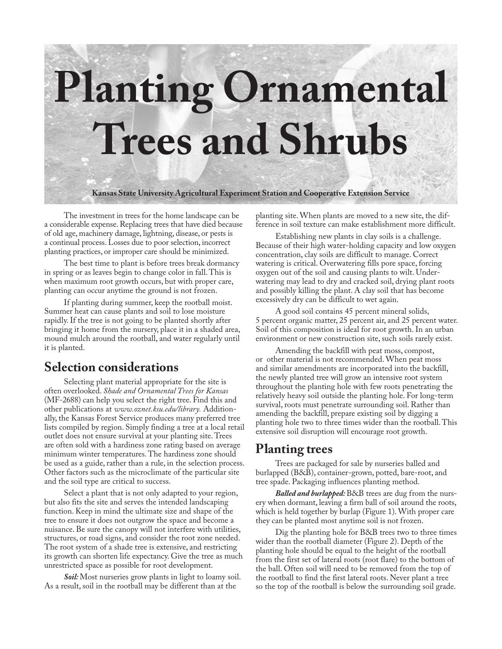# **Planting Ornamental Trees and Shrubs**

**Kansas State University Agricultural Experiment Station and Cooperative Extension Service**

The investment in trees for the home landscape can be a considerable expense. Replacing trees that have died because of old age, machinery damage, lightning, disease, or pests is a continual process. Losses due to poor selection, incorrect planting practices, or improper care should be minimized.

The best time to plant is before trees break dormancy in spring or as leaves begin to change color in fall. This is when maximum root growth occurs, but with proper care, planting can occur anytime the ground is not frozen.

If planting during summer, keep the rootball moist. Summer heat can cause plants and soil to lose moisture rapidly. If the tree is not going to be planted shortly after bringing it home from the nursery, place it in a shaded area, mound mulch around the rootball, and water regularly until it is planted.

## **Selection considerations**

Selecting plant material appropriate for the site is often overlooked. *Shade and Ornamental Trees for Kansas* (MF-2688) can help you select the right tree. Find this and other publications at *www.oznet.ksu.edu/library.* Additionally, the Kansas Forest Service produces many preferred tree lists compiled by region. Simply finding a tree at a local retail outlet does not ensure survival at your planting site. Trees are often sold with a hardiness zone rating based on average minimum winter temperatures. The hardiness zone should be used as a guide, rather than a rule, in the selection process. Other factors such as the microclimate of the particular site and the soil type are critical to success.

Select a plant that is not only adapted to your region, but also fits the site and serves the intended landscaping function. Keep in mind the ultimate size and shape of the tree to ensure it does not outgrow the space and become a nuisance. Be sure the canopy will not interfere with utilities, structures, or road signs, and consider the root zone needed. The root system of a shade tree is extensive, and restricting its growth can shorten life expectancy. Give the tree as much unrestricted space as possible for root development.

*Soil:* Most nurseries grow plants in light to loamy soil. As a result, soil in the rootball may be different than at the

planting site. When plants are moved to a new site, the difference in soil texture can make establishment more difficult.

Establishing new plants in clay soils is a challenge. Because of their high water-holding capacity and low oxygen concentration, clay soils are difficult to manage. Correct watering is critical. Overwatering fills pore space, forcing oxygen out of the soil and causing plants to wilt. Underwatering may lead to dry and cracked soil, drying plant roots and possibly killing the plant. A clay soil that has become excessively dry can be difficult to wet again.

A good soil contains 45 percent mineral solids, 5 percent organic matter, 25 percent air, and 25 percent water. Soil of this composition is ideal for root growth. In an urban environment or new construction site, such soils rarely exist.

Amending the backfill with peat moss, compost, or other material is not recommended. When peat moss and similar amendments are incorporated into the backfill, the newly planted tree will grow an intensive root system throughout the planting hole with few roots penetrating the relatively heavy soil outside the planting hole. For long-term survival, roots must penetrate surrounding soil. Rather than amending the backfill, prepare existing soil by digging a planting hole two to three times wider than the rootball. This extensive soil disruption will encourage root growth.

## **Planting trees**

Trees are packaged for sale by nurseries balled and burlapped (B&B), container-grown, potted, bare-root, and tree spade. Packaging influences planting method.

*Balled and burlapped:* B&B trees are dug from the nursery when dormant, leaving a firm ball of soil around the roots, which is held together by burlap (Figure 1). With proper care they can be planted most anytime soil is not frozen.

Dig the planting hole for B&B trees two to three times wider than the rootball diameter (Figure 2). Depth of the planting hole should be equal to the height of the rootball from the first set of lateral roots (root flare) to the bottom of the ball. Often soil will need to be removed from the top of the rootball to find the first lateral roots. Never plant a tree so the top of the rootball is below the surrounding soil grade.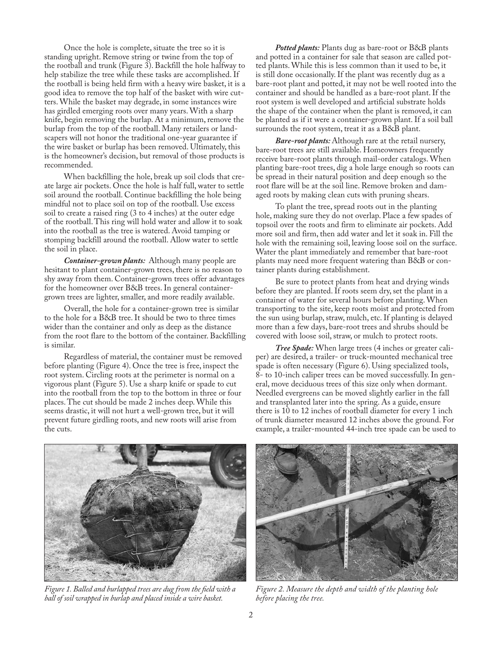Once the hole is complete, situate the tree so it is standing upright. Remove string or twine from the top of the rootball and trunk (Figure 3). Backfill the hole halfway to help stabilize the tree while these tasks are accomplished. If the rootball is being held firm with a heavy wire basket, it is a good idea to remove the top half of the basket with wire cutters. While the basket may degrade, in some instances wire has girdled emerging roots over many years. With a sharp knife, begin removing the burlap. At a minimum, remove the burlap from the top of the rootball. Many retailers or landscapers will not honor the traditional one-year guarantee if the wire basket or burlap has been removed. Ultimately, this is the homeowner's decision, but removal of those products is recommended.

When backfilling the hole, break up soil clods that create large air pockets. Once the hole is half full, water to settle soil around the rootball. Continue backfilling the hole being mindful not to place soil on top of the rootball. Use excess soil to create a raised ring (3 to 4 inches) at the outer edge of the rootball. This ring will hold water and allow it to soak into the rootball as the tree is watered. Avoid tamping or stomping backfill around the rootball. Allow water to settle the soil in place.

*Container-grown plants:* Although many people are hesitant to plant container-grown trees, there is no reason to shy away from them. Container-grown trees offer advantages for the homeowner over B&B trees. In general containergrown trees are lighter, smaller, and more readily available.

Overall, the hole for a container-grown tree is similar to the hole for a B&B tree. It should be two to three times wider than the container and only as deep as the distance from the root flare to the bottom of the container. Backfilling is similar.

Regardless of material, the container must be removed before planting (Figure 4). Once the tree is free, inspect the root system. Circling roots at the perimeter is normal on a vigorous plant (Figure 5). Use a sharp knife or spade to cut into the rootball from the top to the bottom in three or four places. The cut should be made 2 inches deep. While this seems drastic, it will not hurt a well-grown tree, but it will prevent future girdling roots, and new roots will arise from the cuts.

*Potted plants:* Plants dug as bare-root or B&B plants and potted in a container for sale that season are called potted plants. While this is less common than it used to be, it is still done occasionally. If the plant was recently dug as a bare-root plant and potted, it may not be well rooted into the container and should be handled as a bare-root plant. If the root system is well developed and artificial substrate holds the shape of the container when the plant is removed, it can be planted as if it were a container-grown plant. If a soil ball surrounds the root system, treat it as a B&B plant.

*Bare-root plants:* Although rare at the retail nursery, bare-root trees are still available. Homeowners frequently receive bare-root plants through mail-order catalogs. When planting bare-root trees, dig a hole large enough so roots can be spread in their natural position and deep enough so the root flare will be at the soil line. Remove broken and damaged roots by making clean cuts with pruning shears.

To plant the tree, spread roots out in the planting hole, making sure they do not overlap. Place a few spades of topsoil over the roots and firm to eliminate air pockets. Add more soil and firm, then add water and let it soak in. Fill the hole with the remaining soil, leaving loose soil on the surface. Water the plant immediately and remember that bare-root plants may need more frequent watering than B&B or container plants during establishment.

Be sure to protect plants from heat and drying winds before they are planted. If roots seem dry, set the plant in a container of water for several hours before planting. When transporting to the site, keep roots moist and protected from the sun using burlap, straw, mulch, etc. If planting is delayed more than a few days, bare-root trees and shrubs should be covered with loose soil, straw, or mulch to protect roots.

*Tree Spade:* When large trees (4 inches or greater caliper) are desired, a trailer- or truck-mounted mechanical tree spade is often necessary (Figure 6). Using specialized tools, 8- to 10-inch caliper trees can be moved successfully. In general, move deciduous trees of this size only when dormant. Needled evergreens can be moved slightly earlier in the fall and transplanted later into the spring. As a guide, ensure there is 10 to 12 inches of rootball diameter for every 1 inch of trunk diameter measured 12 inches above the ground. For example, a trailer-mounted 44-inch tree spade can be used to



*Figure 1. Balled and burlapped trees are dug from the field with a ball of soil wrapped in burlap and placed inside a wire basket.*



*Figure 2. Measure the depth and width of the planting hole before placing the tree.*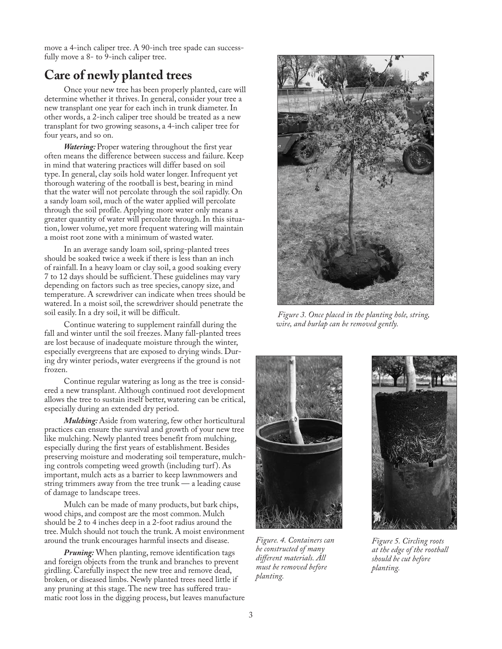move a 4-inch caliper tree. A 90-inch tree spade can successfully move a 8- to 9-inch caliper tree.

# **Care of newly planted trees**

Once your new tree has been properly planted, care will determine whether it thrives. In general, consider your tree a new transplant one year for each inch in trunk diameter. In other words, a 2-inch caliper tree should be treated as a new transplant for two growing seasons, a 4-inch caliper tree for four years, and so on.

*Watering:* Proper watering throughout the first year often means the difference between success and failure. Keep in mind that watering practices will differ based on soil type. In general, clay soils hold water longer. Infrequent yet thorough watering of the rootball is best, bearing in mind that the water will not percolate through the soil rapidly. On a sandy loam soil, much of the water applied will percolate through the soil profile. Applying more water only means a greater quantity of water will percolate through. In this situation, lower volume, yet more frequent watering will maintain a moist root zone with a minimum of wasted water.

In an average sandy loam soil, spring-planted trees should be soaked twice a week if there is less than an inch of rainfall. In a heavy loam or clay soil, a good soaking every 7 to 12 days should be sufficient. These guidelines may vary depending on factors such as tree species, canopy size, and temperature. A screwdriver can indicate when trees should be watered. In a moist soil, the screwdriver should penetrate the soil easily. In a dry soil, it will be difficult.

Continue watering to supplement rainfall during the fall and winter until the soil freezes. Many fall-planted trees are lost because of inadequate moisture through the winter, especially evergreens that are exposed to drying winds. During dry winter periods, water evergreens if the ground is not frozen.

Continue regular watering as long as the tree is considered a new transplant. Although continued root development allows the tree to sustain itself better, watering can be critical, especially during an extended dry period.

*Mulching:* Aside from watering, few other horticultural practices can ensure the survival and growth of your new tree like mulching. Newly planted trees benefit from mulching, especially during the first years of establishment. Besides preserving moisture and moderating soil temperature, mulching controls competing weed growth (including turf ). As important, mulch acts as a barrier to keep lawnmowers and string trimmers away from the tree trunk — a leading cause of damage to landscape trees.

Mulch can be made of many products, but bark chips, wood chips, and compost are the most common. Mulch should be 2 to 4 inches deep in a 2-foot radius around the tree. Mulch should not touch the trunk. A moist environment around the trunk encourages harmful insects and disease.

*Pruning:* When planting, remove identification tags and foreign objects from the trunk and branches to prevent girdling. Carefully inspect the new tree and remove dead, broken, or diseased limbs. Newly planted trees need little if any pruning at this stage. The new tree has suffered traumatic root loss in the digging process, but leaves manufacture



 *Figure 3. Once placed in the planting hole, string, wire, and burlap can be removed gently.*



*Figure. 4. Containers can be constructed of many different materials. All must be removed before planting.*



*Figure 5. Circling roots at the edge of the rootball should be cut before planting.*